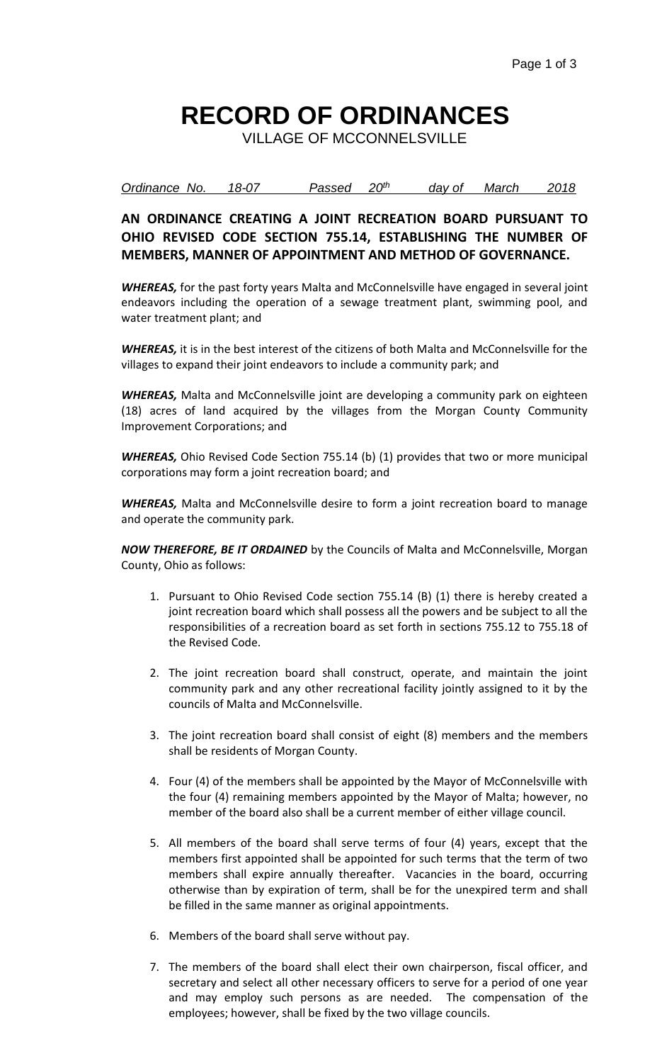## **RECORD OF ORDINANCES**

VILLAGE OF MCCONNELSVILLE

*Ordinance No. 18-07 Passed 20th day of March 2018*

**AN ORDINANCE CREATING A JOINT RECREATION BOARD PURSUANT TO OHIO REVISED CODE SECTION 755.14, ESTABLISHING THE NUMBER OF MEMBERS, MANNER OF APPOINTMENT AND METHOD OF GOVERNANCE.**

*WHEREAS,* for the past forty years Malta and McConnelsville have engaged in several joint endeavors including the operation of a sewage treatment plant, swimming pool, and water treatment plant; and

*WHEREAS,* it is in the best interest of the citizens of both Malta and McConnelsville for the villages to expand their joint endeavors to include a community park; and

*WHEREAS,* Malta and McConnelsville joint are developing a community park on eighteen (18) acres of land acquired by the villages from the Morgan County Community Improvement Corporations; and

*WHEREAS,* Ohio Revised Code Section 755.14 (b) (1) provides that two or more municipal corporations may form a joint recreation board; and

*WHEREAS,* Malta and McConnelsville desire to form a joint recreation board to manage and operate the community park.

*NOW THEREFORE, BE IT ORDAINED* by the Councils of Malta and McConnelsville, Morgan County, Ohio as follows:

- 1. Pursuant to Ohio Revised Code section 755.14 (B) (1) there is hereby created a joint recreation board which shall possess all the powers and be subject to all the responsibilities of a recreation board as set forth in sections 755.12 to 755.18 of the Revised Code.
- 2. The joint recreation board shall construct, operate, and maintain the joint community park and any other recreational facility jointly assigned to it by the councils of Malta and McConnelsville.
- 3. The joint recreation board shall consist of eight (8) members and the members shall be residents of Morgan County.
- 4. Four (4) of the members shall be appointed by the Mayor of McConnelsville with the four (4) remaining members appointed by the Mayor of Malta; however, no member of the board also shall be a current member of either village council.
- 5. All members of the board shall serve terms of four (4) years, except that the members first appointed shall be appointed for such terms that the term of two members shall expire annually thereafter. Vacancies in the board, occurring otherwise than by expiration of term, shall be for the unexpired term and shall be filled in the same manner as original appointments.
- 6. Members of the board shall serve without pay.
- 7. The members of the board shall elect their own chairperson, fiscal officer, and secretary and select all other necessary officers to serve for a period of one year and may employ such persons as are needed. The compensation of the employees; however, shall be fixed by the two village councils.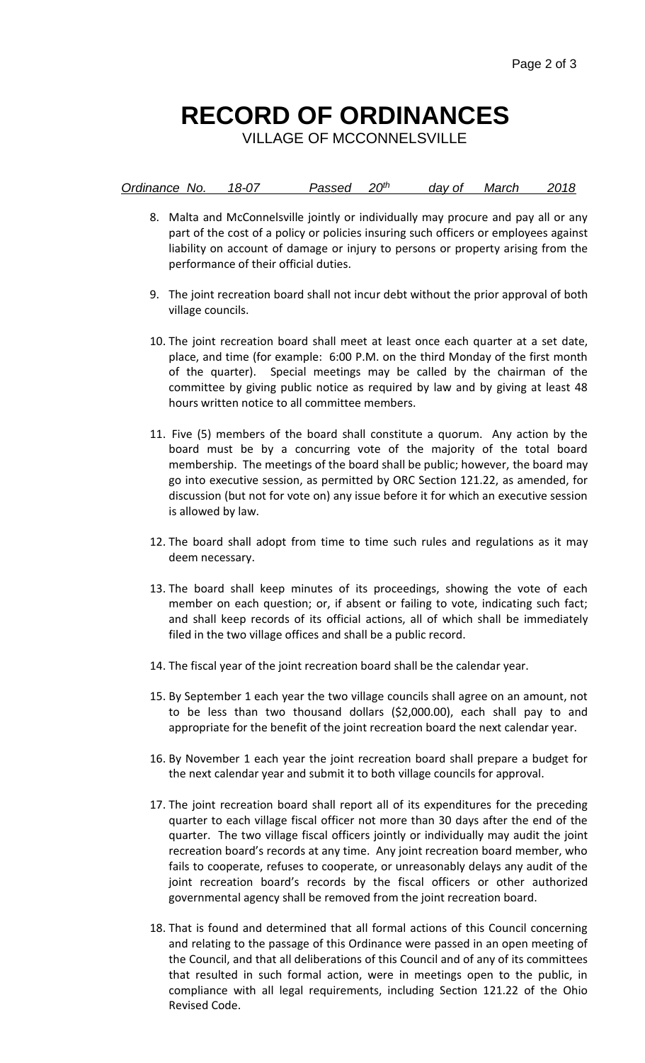## **RECORD OF ORDINANCES**

VILLAGE OF MCCONNELSVILLE

| Ordinance No. | 18-07 | Passed 20th |  | day of March | 2018 |
|---------------|-------|-------------|--|--------------|------|
|               |       |             |  |              |      |

- 8. Malta and McConnelsville jointly or individually may procure and pay all or any part of the cost of a policy or policies insuring such officers or employees against liability on account of damage or injury to persons or property arising from the performance of their official duties.
- 9. The joint recreation board shall not incur debt without the prior approval of both village councils.
- 10. The joint recreation board shall meet at least once each quarter at a set date, place, and time (for example: 6:00 P.M. on the third Monday of the first month of the quarter). Special meetings may be called by the chairman of the committee by giving public notice as required by law and by giving at least 48 hours written notice to all committee members.
- 11. Five (5) members of the board shall constitute a quorum. Any action by the board must be by a concurring vote of the majority of the total board membership. The meetings of the board shall be public; however, the board may go into executive session, as permitted by ORC Section 121.22, as amended, for discussion (but not for vote on) any issue before it for which an executive session is allowed by law.
- 12. The board shall adopt from time to time such rules and regulations as it may deem necessary.
- 13. The board shall keep minutes of its proceedings, showing the vote of each member on each question; or, if absent or failing to vote, indicating such fact; and shall keep records of its official actions, all of which shall be immediately filed in the two village offices and shall be a public record.
- 14. The fiscal year of the joint recreation board shall be the calendar year.
- 15. By September 1 each year the two village councils shall agree on an amount, not to be less than two thousand dollars (\$2,000.00), each shall pay to and appropriate for the benefit of the joint recreation board the next calendar year.
- 16. By November 1 each year the joint recreation board shall prepare a budget for the next calendar year and submit it to both village councils for approval.
- 17. The joint recreation board shall report all of its expenditures for the preceding quarter to each village fiscal officer not more than 30 days after the end of the quarter. The two village fiscal officers jointly or individually may audit the joint recreation board's records at any time. Any joint recreation board member, who fails to cooperate, refuses to cooperate, or unreasonably delays any audit of the joint recreation board's records by the fiscal officers or other authorized governmental agency shall be removed from the joint recreation board.
- 18. That is found and determined that all formal actions of this Council concerning and relating to the passage of this Ordinance were passed in an open meeting of the Council, and that all deliberations of this Council and of any of its committees that resulted in such formal action, were in meetings open to the public, in compliance with all legal requirements, including Section 121.22 of the Ohio Revised Code.